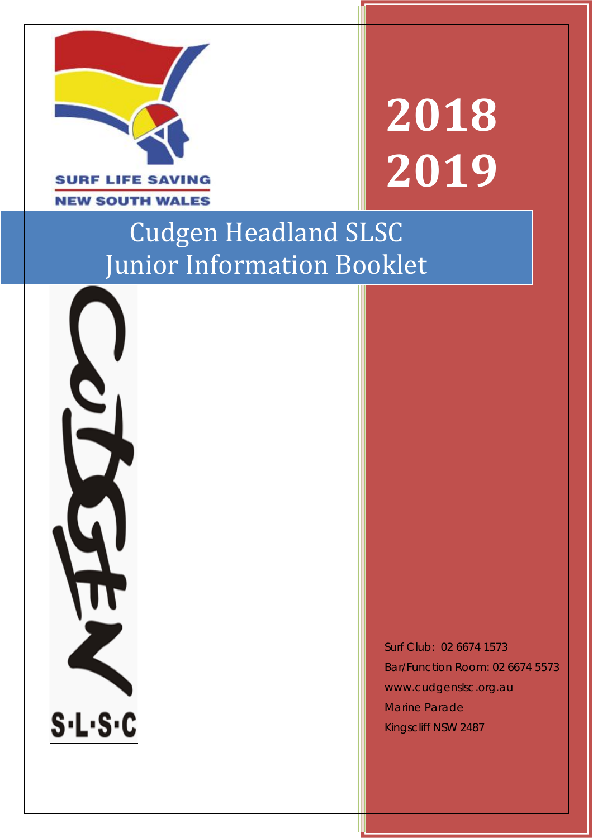

# **2018 2019**

# Cudgen Headland SLSC Junior Information Booklet

S.L.S.C

Surf Club: 02 6674 1573 Bar/Function Room: 02 6674 5573 www.cudgenslsc.org.au Marine Parade Kingscliff NSW 2487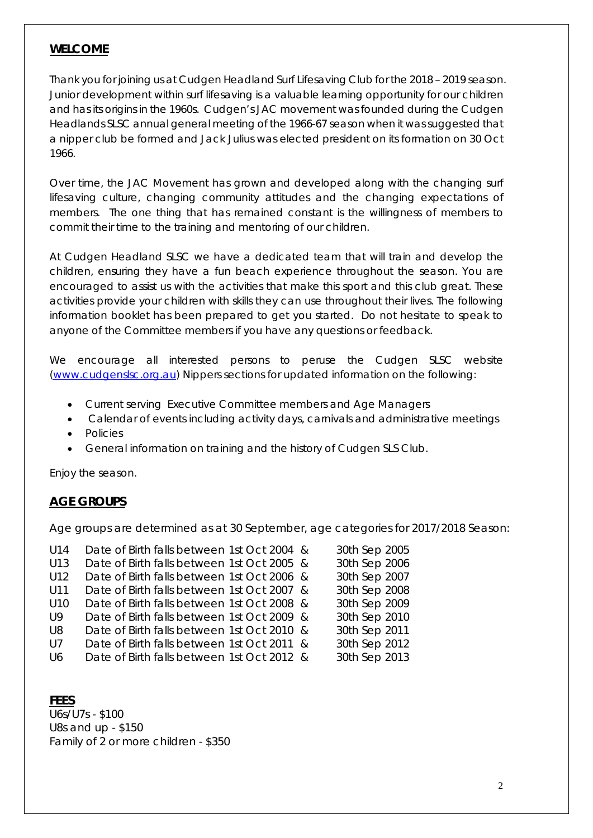#### **WELCOME**

Thank you for joining us at Cudgen Headland Surf Lifesaving Club for the 2018 – 2019 season. Junior development within surf lifesaving is a valuable learning opportunity for our children and has its origins in the 1960s. Cudgen's JAC movement was founded during the Cudgen Headlands SLSC annual general meeting of the 1966-67 season when it was suggested that a nipper club be formed and Jack Julius was elected president on its formation on 30 Oct 1966.

Over time, the JAC Movement has grown and developed along with the changing surf lifesaving culture, changing community attitudes and the changing expectations of members. The one thing that has remained constant is the willingness of members to commit their time to the training and mentoring of our children.

At Cudgen Headland SLSC we have a dedicated team that will train and develop the children, ensuring they have a fun beach experience throughout the season. You are encouraged to assist us with the activities that make this sport and this club great. These activities provide your children with skills they can use throughout their lives. The following information booklet has been prepared to get you started. Do not hesitate to speak to anyone of the Committee members if you have any questions or feedback.

We encourage all interested persons to peruse the Cudgen SLSC website [\(www.cudgenslsc.org.au\)](http://www.cudgenslsc.org.au/) Nippers sections for updated information on the following:

- Current serving Executive Committee members and Age Managers
- Calendar of events including activity days, carnivals and administrative meetings
- Policies
- General information on training and the history of Cudgen SLS Club.

Enjoy the season.

#### **AGE GROUPS**

Age groups are determined as at 30 September, age categories for 2017/2018 Season:

| U14             | Date of Birth falls between 1st Oct 2004 & | 30th Sep 2005 |
|-----------------|--------------------------------------------|---------------|
| U13             | Date of Birth falls between 1st Oct 2005 & | 30th Sep 2006 |
| U12             | Date of Birth falls between 1st Oct 2006 & | 30th Sep 2007 |
| U11             | Date of Birth falls between 1st Oct 2007 & | 30th Sep 2008 |
| U <sub>10</sub> | Date of Birth falls between 1st Oct 2008 & | 30th Sep 2009 |
| U <sub>9</sub>  | Date of Birth falls between 1st Oct 2009 & | 30th Sep 2010 |
| U8              | Date of Birth falls between 1st Oct 2010 & | 30th Sep 2011 |
| U <sub>7</sub>  | Date of Birth falls between 1st Oct 2011 & | 30th Sep 2012 |
| 116             | Date of Birth falls between 1st Oct 2012 & | 30th Sep 2013 |
|                 |                                            |               |

**FEES**

U6s/U7s - \$100 U8s and up - \$150 Family of 2 or more children - \$350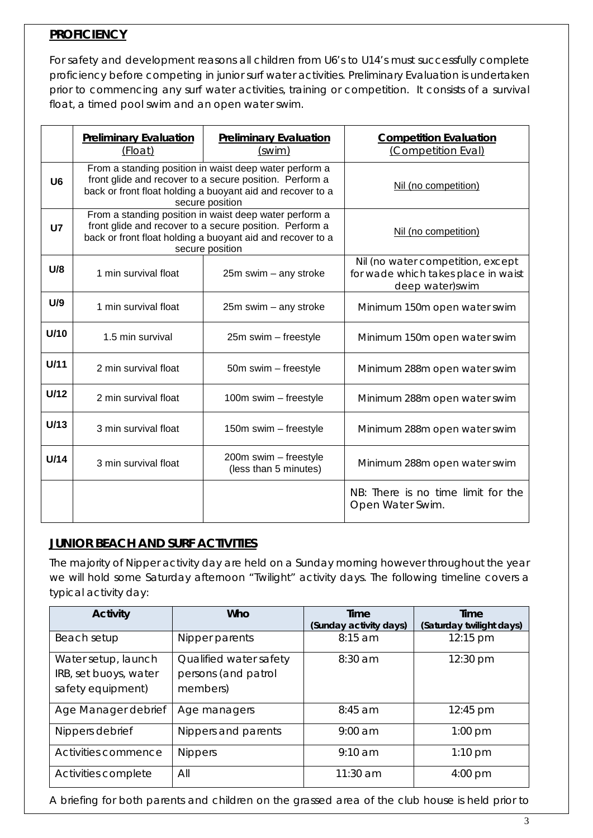# **PROFICIENCY**

For safety and development reasons all children from U6's to U14's must successfully complete proficiency before competing in junior surf water activities. Preliminary Evaluation is undertaken prior to commencing any surf water activities, training or competition. It consists of a survival float, a timed pool swim and an open water swim.

|                | <b>Preliminary Evaluation</b><br>(Float)                                                                                                                                                           | <b>Preliminary Evaluation</b><br>(swim)        | <b>Competition Evaluation</b><br>(Competition Eval)                                         |
|----------------|----------------------------------------------------------------------------------------------------------------------------------------------------------------------------------------------------|------------------------------------------------|---------------------------------------------------------------------------------------------|
| U <sub>6</sub> | From a standing position in waist deep water perform a<br>front glide and recover to a secure position. Perform a<br>back or front float holding a buoyant aid and recover to a<br>secure position |                                                | Nil (no competition)                                                                        |
| <b>U7</b>      | From a standing position in waist deep water perform a<br>front glide and recover to a secure position. Perform a<br>back or front float holding a buoyant aid and recover to a<br>secure position |                                                | Nil (no competition)                                                                        |
| U/8            | 1 min survival float                                                                                                                                                                               | $25m$ swim $-$ any stroke                      | Nil (no water competition, except<br>for wade which takes place in waist<br>deep water)swim |
| U/9            | 1 min survival float                                                                                                                                                                               | $25m$ swim – any stroke                        | Minimum 150m open water swim                                                                |
| U/10           | 1.5 min survival                                                                                                                                                                                   | 25m swim - freestyle                           | Minimum 150m open water swim                                                                |
| U/11           | 2 min survival float                                                                                                                                                                               | 50m swim - freestyle                           | Minimum 288m open water swim                                                                |
| U/12           | 2 min survival float                                                                                                                                                                               | 100m swim - freestyle                          | Minimum 288m open water swim                                                                |
| U/13           | 3 min survival float                                                                                                                                                                               | 150m swim - freestyle                          | Minimum 288m open water swim                                                                |
| U/14           | 3 min survival float                                                                                                                                                                               | 200m swim - freestyle<br>(less than 5 minutes) | Minimum 288m open water swim                                                                |
|                |                                                                                                                                                                                                    |                                                | NB: There is no time limit for the<br>Open Water Swim.                                      |

# **JUNIOR BEACH AND SURF ACTIVITIES**

The majority of Nipper activity day are held on a Sunday morning however throughout the year we will hold some Saturday afternoon "Twilight" activity days. The following timeline covers a typical activity day:

| <b>Activity</b>                                                   | Who                                                       | Time<br>(Sunday activity days) | Time<br>(Saturday twilight days) |
|-------------------------------------------------------------------|-----------------------------------------------------------|--------------------------------|----------------------------------|
| Beach setup                                                       | Nipper parents                                            | $8:15$ am                      | 12:15 pm                         |
| Water setup, launch<br>IRB, set buoys, water<br>safety equipment) | Qualified water safety<br>persons (and patrol<br>members) | 8:30 am                        | 12:30 pm                         |
| Age Manager debrief                                               | Age managers                                              | $8:45$ am                      | 12:45 pm                         |
| Nippers debrief                                                   | Nippers and parents                                       | $9:00$ am                      | $1:00$ pm                        |
| Activities commence                                               | <b>Nippers</b>                                            | $9:10 \text{ am}$              | $1:10$ pm                        |
| Activities complete                                               | All                                                       | 11:30 am                       | 4:00 pm                          |

A briefing for both parents and children on the grassed area of the club house is held prior to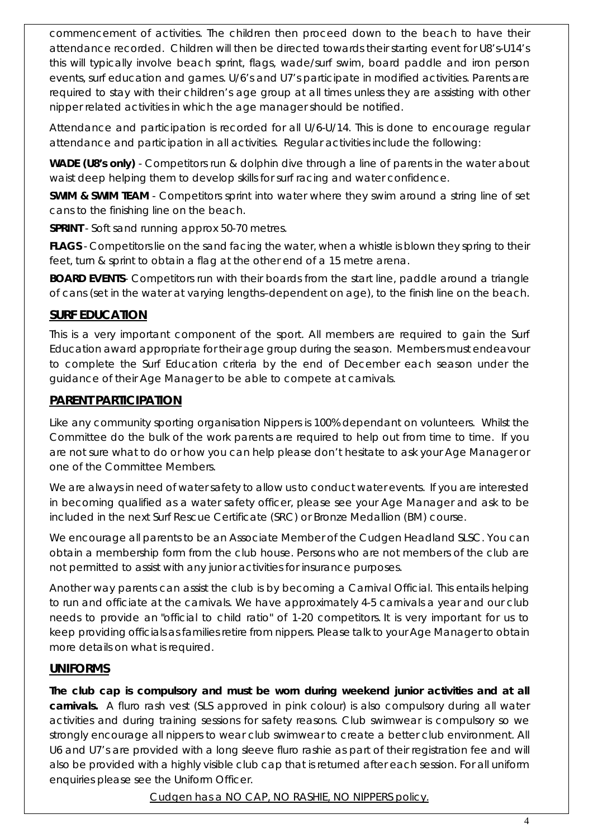commencement of activities. The children then proceed down to the beach to have their attendance recorded. Children will then be directed towards their starting event for U8's-U14's this will typically involve beach sprint, flags, wade/surf swim, board paddle and iron person events, surf education and games. U/6's and U7's participate in modified activities. Parents are required to stay with their children's age group at all times unless they are assisting with other nipper related activities in which the age manager should be notified.

Attendance and participation is recorded for all U/6-U/14. This is done to encourage regular attendance and participation in all activities. Regular activities include the following:

**WADE (U8's only)** - Competitors run & dolphin dive through a line of parents in the water about waist deep helping them to develop skills for surf racing and water confidence.

**SWIM & SWIM TEAM** - Competitors sprint into water where they swim around a string line of set cans to the finishing line on the beach.

**SPRINT** - Soft sand running approx 50-70 metres.

**FLAGS** - Competitors lie on the sand facing the water, when a whistle is blown they spring to their feet, turn & sprint to obtain a flag at the other end of a 15 metre arena.

**BOARD EVENTS**- Competitors run with their boards from the start line, paddle around a triangle of cans (set in the water at varying lengths–dependent on age), to the finish line on the beach.

### **SURF EDUCATION**

This is a very important component of the sport. All members are required to gain the Surf Education award appropriate for their age group during the season. Members must endeavour to complete the Surf Education criteria by the end of December each season under the guidance of their Age Manager to be able to compete at carnivals.

#### **PARENT PARTICIPATION**

Like any community sporting organisation Nippers is 100% dependant on volunteers. Whilst the Committee do the bulk of the work parents are required to help out from time to time. If you are not sure what to do or how you can help please don't hesitate to ask your Age Manager or one of the Committee Members.

We are always in need of water safety to allow us to conduct water events. If you are interested in becoming qualified as a water safety officer, please see your Age Manager and ask to be included in the next Surf Rescue Certificate (SRC) or Bronze Medallion (BM) course.

We encourage all parents to be an Associate Member of the Cudgen Headland SLSC. You can obtain a membership form from the club house. Persons who are not members of the club are not permitted to assist with any junior activities for insurance purposes.

Another way parents can assist the club is by becoming a Carnival Official. This entails helping to run and officiate at the carnivals. We have approximately 4-5 carnivals a year and our club needs to provide an "official to child ratio" of 1-20 competitors. It is very important for us to keep providing officials as families retire from nippers. Please talk to your Age Manager to obtain more details on what is required.

#### **UNIFORMS**

**The club cap is compulsory and must be worn during weekend junior activities and at all carnivals.** A fluro rash vest (SLS approved in pink colour) is also compulsory during all water activities and during training sessions for safety reasons. Club swimwear is compulsory so we strongly encourage all nippers to wear club swimwear to create a better club environment. All U6 and U7's are provided with a long sleeve fluro rashie as part of their registration fee and will also be provided with a highly visible club cap that is returned after each session. For all uniform enquiries please see the Uniform Officer.

*Cudgen has a NO CAP, NO RASHIE, NO NIPPERS policy.*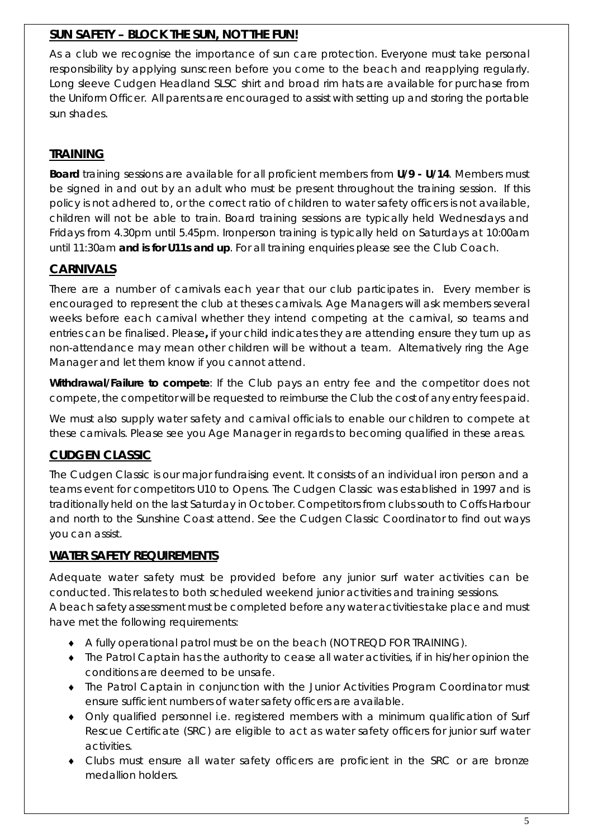# **SUN SAFETY – BLOCK THE SUN, NOT THE FUN!**

As a club we recognise the importance of sun care protection. Everyone must take personal responsibility by applying sunscreen before you come to the beach and reapplying regularly. Long sleeve Cudgen Headland SLSC shirt and broad rim hats are available for purchase from the Uniform Officer. All parents are encouraged to assist with setting up and storing the portable sun shades.

# **TRAINING**

**Board** training sessions are available for all proficient members from **U/9 - U/14**. Members must be signed in and out by an adult who must be present throughout the training session. If this policy is not adhered to, or the correct ratio of children to water safety officers is not available, children will not be able to train. Board training sessions are typically held Wednesdays and Fridays from 4.30pm until 5.45pm. Ironperson training is typically held on Saturdays at 10:00am until 11:30am **and is for U11s and up**. For all training enquiries please see the Club Coach.

# **CARNIVALS**

There are a number of carnivals each year that our club participates in. Every member is encouraged to represent the club at theses carnivals. Age Managers will ask members several weeks before each carnival whether they intend competing at the carnival, so teams and entries can be finalised. Please**,** if your child indicates they are attending ensure they turn up as non-attendance may mean other children will be without a team. Alternatively ring the Age Manager and let them know if you cannot attend.

*Withdrawal/Failure to compete*: If the Club pays an entry fee and the competitor does not compete, the competitor will be requested to reimburse the Club the cost of any entry fees paid.

We must also supply water safety and carnival officials to enable our children to compete at these carnivals. Please see you Age Manager in regards to becoming qualified in these areas.

# **CUDGEN CLASSIC**

The Cudgen Classic is our major fundraising event. It consists of an individual iron person and a teams event for competitors U10 to Opens. The Cudgen Classic was established in 1997 and is traditionally held on the last Saturday in October. Competitors from clubs south to Coffs Harbour and north to the Sunshine Coast attend. See the Cudgen Classic Coordinator to find out ways you can assist.

# **WATER SAFETY REQUIREMENTS**

Adequate water safety must be provided before any junior surf water activities can be conducted. This relates to both scheduled weekend junior activities and training sessions. A beach safety assessment must be completed before any water activities take place and must

have met the following requirements:

- ♦ A fully operational patrol must be on the beach (NOT REQD FOR TRAINING).
- ♦ The Patrol Captain has the authority to cease all water activities, if in his/her opinion the conditions are deemed to be unsafe.
- ♦ The Patrol Captain in conjunction with the Junior Activities Program Coordinator must ensure sufficient numbers of water safety officers are available.
- ♦ Only qualified personnel i.e. registered members with a minimum qualification of Surf Rescue Certificate (SRC) are eligible to act as water safety officers for junior surf water activities.
- ♦ Clubs must ensure all water safety officers are proficient in the SRC or are bronze medallion holders.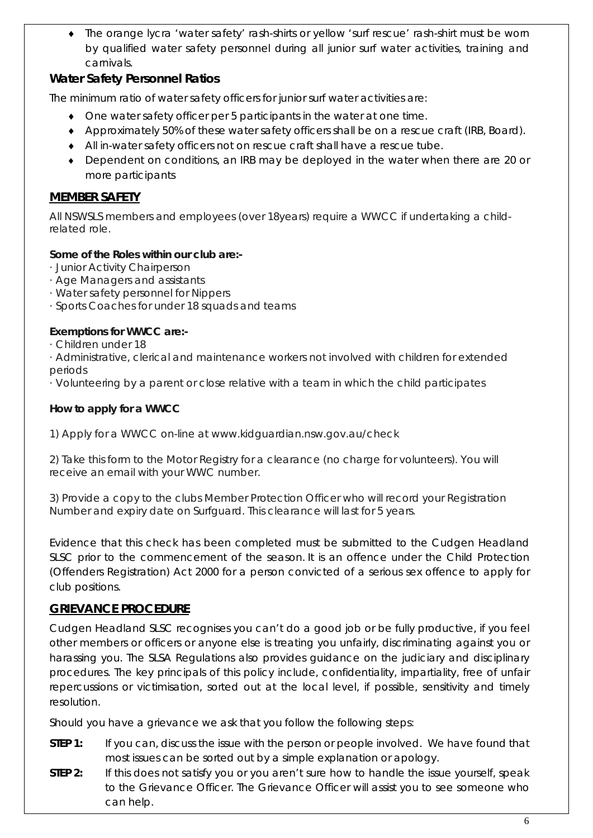♦ The orange lycra 'water safety' rash-shirts or yellow 'surf rescue' rash-shirt must be worn by qualified water safety personnel during all junior surf water activities, training and carnivals.

# **Water Safety Personnel Ratios**

The minimum ratio of water safety officers for junior surf water activities are:

- ♦ One water safety officer per 5 participants in the water at one time.
- ♦ Approximately 50% of these water safety officers shall be on a rescue craft (IRB, Board).
- ♦ All in-water safety officers not on rescue craft shall have a rescue tube.
- ♦ Dependent on conditions, an IRB may be deployed in the water when there are 20 or more participants

#### **MEMBER SAFETY**

*All NSWSLS members and employees (over 18years) require a WWCC if undertaking a childrelated role.*

#### *Some of the Roles within our club are:-*

- *· Junior Activity Chairperson*
- *· Age Managers and assistants*
- *· Water safety personnel for Nippers*
- *· Sports Coaches for under 18 squads and teams*

#### *Exemptions for WWCC are:-*

*· Children under 18*

*· Administrative, clerical and maintenance workers not involved with children for extended periods*

*· Volunteering by a parent or close relative with a team in which the child participates*

#### *How to apply for a WWCC*

*1) Apply for a WWCC on-line at www.kidguardian.nsw.gov.au/check*

*2) Take this form to the Motor Registry for a clearance (no charge for volunteers). You will receive an email with your WWC number.*

3) Provide a copy to the clubs Member Protection Officer who will record your Registration Number and expiry date on Surfguard. This clearance will last for 5 years.

Evidence that this check has been completed must be submitted to the Cudgen Headland SLSC prior to the commencement of the season. It is an offence under the Child Protection (Offenders Registration) Act 2000 for a person convicted of a serious sex offence to apply for club positions.

#### **GRIEVANCE PROCEDURE**

Cudgen Headland SLSC recognises you can't do a good job or be fully productive, if you feel other members or officers or anyone else is treating you unfairly, discriminating against you or harassing you. The SLSA Regulations also provides guidance on the judiciary and disciplinary procedures. The key principals of this policy include, confidentiality, impartiality, free of unfair repercussions or victimisation, sorted out at the local level, if possible, sensitivity and timely resolution.

Should you have a grievance we ask that you follow the following steps:

- **STEP 1:** If you can, discuss the issue with the person or people involved. We have found that most issues can be sorted out by a simple explanation or apology.
- **STEP 2:** If this does not satisfy you or you aren't sure how to handle the issue yourself, speak to the Grievance Officer. The Grievance Officer will assist you to see someone who can help.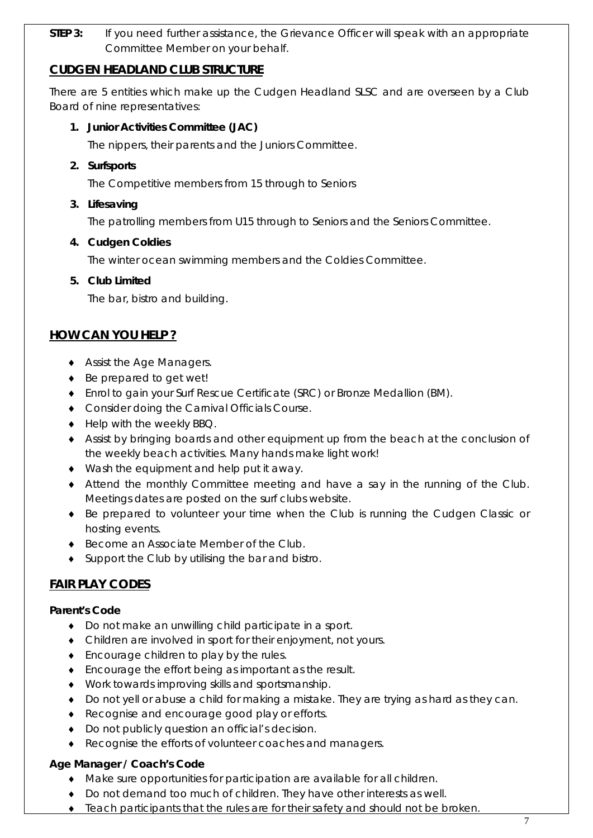**STEP 3:** If you need further assistance, the Grievance Officer will speak with an appropriate Committee Member on your behalf.

#### **CUDGEN HEADLAND CLUB STRUCTURE**

There are 5 entities which make up the Cudgen Headland SLSC and are overseen by a Club Board of nine representatives:

#### **1. Junior Activities Committee (JAC)**

The nippers, their parents and the Juniors Committee.

**2. Surfsports**

The Competitive members from 15 through to Seniors

#### **3. Lifesaving**

The patrolling members from U15 through to Seniors and the Seniors Committee.

#### **4. Cudgen Coldies**

The winter ocean swimming members and the Coldies Committee.

#### **5. Club Limited**

The bar, bistro and building.

#### **HOW CAN YOU HELP ?**

- ♦ Assist the Age Managers.
- ♦ Be prepared to get wet!
- ♦ Enrol to gain your Surf Rescue Certificate (SRC) or Bronze Medallion (BM).
- ♦ Consider doing the Carnival Officials Course.
- ♦ Help with the weekly BBQ.
- ♦ Assist by bringing boards and other equipment up from the beach at the conclusion of the weekly beach activities. Many hands make light work!
- ♦ Wash the equipment and help put it away.
- ♦ Attend the monthly Committee meeting and have a say in the running of the Club. Meetings dates are posted on the surf clubs website.
- ♦ Be prepared to volunteer your time when the Club is running the Cudgen Classic or hosting events.
- ♦ Become an Associate Member of the Club.
- ♦ Support the Club by utilising the bar and bistro.

#### **FAIR PLAY CODES**

#### **Parent's Code**

- ♦ Do not make an unwilling child participate in a sport.
- ♦ Children are involved in sport for their enjoyment, not yours.
- ♦ Encourage children to play by the rules.
- ♦ Encourage the effort being as important as the result.
- ♦ Work towards improving skills and sportsmanship.
- ♦ Do not yell or abuse a child for making a mistake. They are trying as hard as they can.
- ♦ Recognise and encourage good play or efforts.
- ♦ Do not publicly question an official's decision.
- ♦ Recognise the efforts of volunteer coaches and managers.

#### **Age Manager / Coach's Code**

- ♦ Make sure opportunities for participation are available for all children.
- ♦ Do not demand too much of children. They have other interests as well.
- ♦ Teach participants that the rules are for their safety and should not be broken.